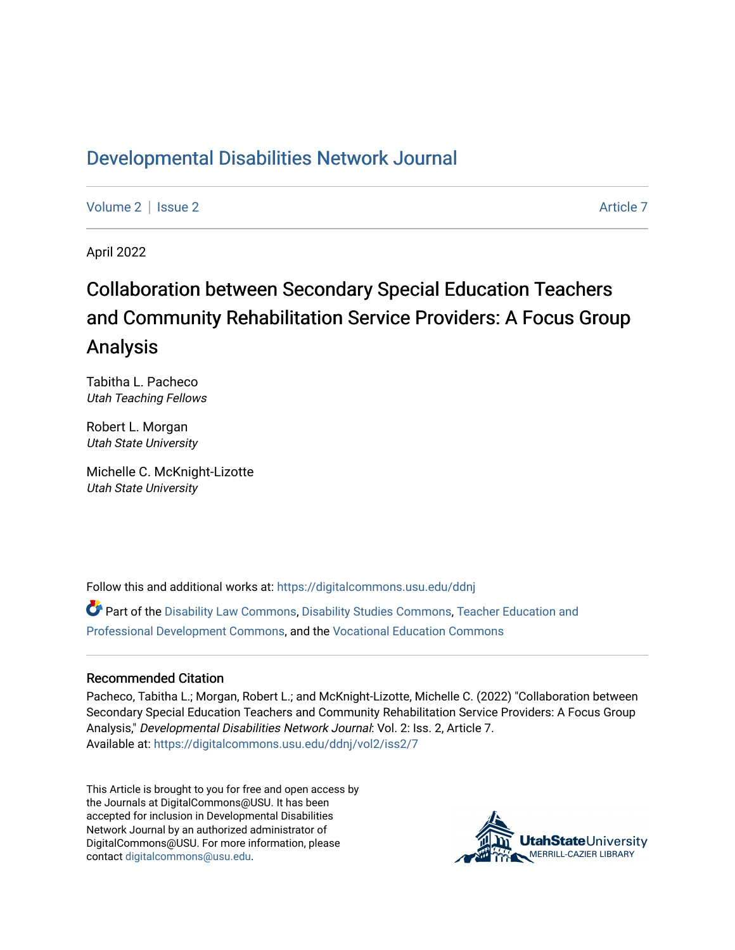## [Developmental Disabilities Network Journal](https://digitalcommons.usu.edu/ddnj)

[Volume 2](https://digitalcommons.usu.edu/ddnj/vol2) | [Issue 2](https://digitalcommons.usu.edu/ddnj/vol2/iss2) Article 7

April 2022

# Collaboration between Secondary Special Education Teachers and Community Rehabilitation Service Providers: A Focus Group Analysis

Tabitha L. Pacheco Utah Teaching Fellows

Robert L. Morgan Utah State University

Michelle C. McKnight-Lizotte Utah State University

Follow this and additional works at: [https://digitalcommons.usu.edu/ddnj](https://digitalcommons.usu.edu/ddnj?utm_source=digitalcommons.usu.edu%2Fddnj%2Fvol2%2Fiss2%2F7&utm_medium=PDF&utm_campaign=PDFCoverPages) 

Part of the [Disability Law Commons](http://network.bepress.com/hgg/discipline/1074?utm_source=digitalcommons.usu.edu%2Fddnj%2Fvol2%2Fiss2%2F7&utm_medium=PDF&utm_campaign=PDFCoverPages), [Disability Studies Commons](http://network.bepress.com/hgg/discipline/1417?utm_source=digitalcommons.usu.edu%2Fddnj%2Fvol2%2Fiss2%2F7&utm_medium=PDF&utm_campaign=PDFCoverPages), [Teacher Education and](http://network.bepress.com/hgg/discipline/803?utm_source=digitalcommons.usu.edu%2Fddnj%2Fvol2%2Fiss2%2F7&utm_medium=PDF&utm_campaign=PDFCoverPages) [Professional Development Commons](http://network.bepress.com/hgg/discipline/803?utm_source=digitalcommons.usu.edu%2Fddnj%2Fvol2%2Fiss2%2F7&utm_medium=PDF&utm_campaign=PDFCoverPages), and the [Vocational Education Commons](http://network.bepress.com/hgg/discipline/1369?utm_source=digitalcommons.usu.edu%2Fddnj%2Fvol2%2Fiss2%2F7&utm_medium=PDF&utm_campaign=PDFCoverPages) 

#### Recommended Citation

Pacheco, Tabitha L.; Morgan, Robert L.; and McKnight-Lizotte, Michelle C. (2022) "Collaboration between Secondary Special Education Teachers and Community Rehabilitation Service Providers: A Focus Group Analysis," Developmental Disabilities Network Journal: Vol. 2: Iss. 2, Article 7. Available at: [https://digitalcommons.usu.edu/ddnj/vol2/iss2/7](https://digitalcommons.usu.edu/ddnj/vol2/iss2/7?utm_source=digitalcommons.usu.edu%2Fddnj%2Fvol2%2Fiss2%2F7&utm_medium=PDF&utm_campaign=PDFCoverPages) 

This Article is brought to you for free and open access by the Journals at DigitalCommons@USU. It has been accepted for inclusion in Developmental Disabilities Network Journal by an authorized administrator of DigitalCommons@USU. For more information, please contact [digitalcommons@usu.edu](mailto:digitalcommons@usu.edu).

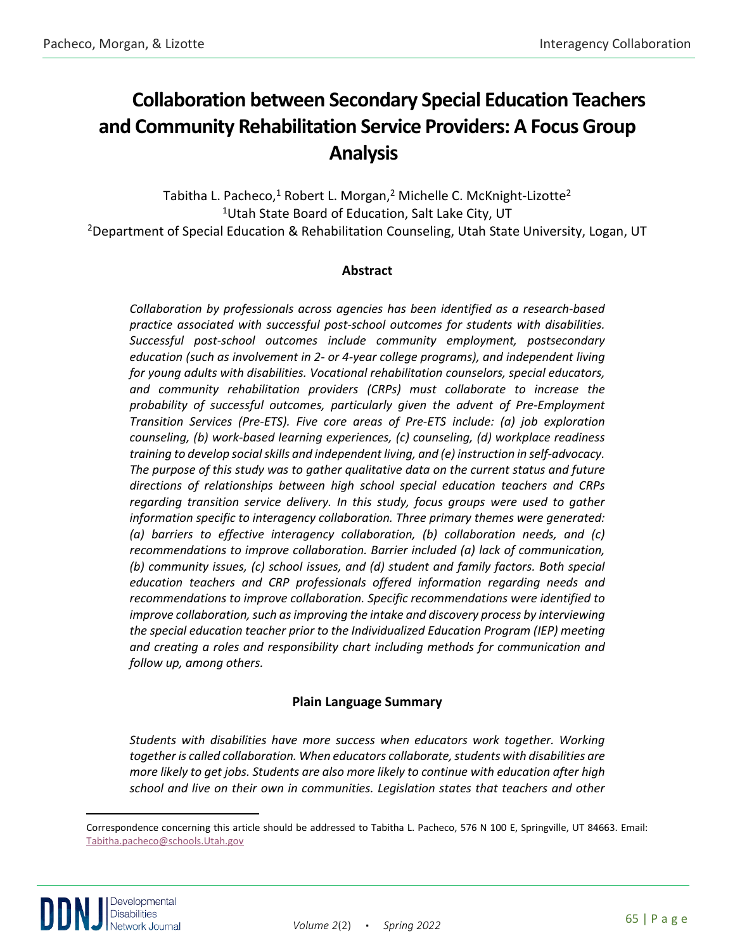## **Collaboration between Secondary Special Education Teachers and Community Rehabilitation Service Providers: A Focus Group**  Analysis

Tabitha L. Pacheco,<sup>1</sup> Robert L. Morgan,<sup>2</sup> Michelle C. McKnight-Lizotte<sup>2</sup> <sup>1</sup>Utah State Board of Education, Salt Lake City, UT <sup>2</sup>Department of Special Education & Rehabilitation Counseling, Utah State University, Logan, UT

## **Abstract**

*Collaboration by professionals across agencies has been identified as a research-based practice associated with successful post-school outcomes for students with disabilities. Successful post-school outcomes include community employment, postsecondary education (such as involvement in 2- or 4-year college programs), and independent living for young adults with disabilities. Vocational rehabilitation counselors, special educators, and community rehabilitation providers (CRPs) must collaborate to increase the probability of successful outcomes, particularly given the advent of Pre-Employment Transition Services (Pre-ETS). Five core areas of Pre-ETS include: (a) job exploration counseling, (b) work-based learning experiences, (c) counseling, (d) workplace readiness training to develop social skills and independent living, and (e) instruction in self-advocacy. The purpose of this study was to gather qualitative data on the current status and future directions of relationships between high school special education teachers and CRPs regarding transition service delivery. In this study, focus groups were used to gather information specific to interagency collaboration. Three primary themes were generated: (a) barriers to effective interagency collaboration, (b) collaboration needs, and (c) recommendations to improve collaboration. Barrier included (a) lack of communication, (b) community issues, (c) school issues, and (d) student and family factors. Both special education teachers and CRP professionals offered information regarding needs and recommendations to improve collaboration. Specific recommendations were identified to improve collaboration, such as improving the intake and discovery process by interviewing the special education teacher prior to the Individualized Education Program (IEP) meeting and creating a roles and responsibility chart including methods for communication and follow up, among others.*

## **Plain Language Summary**

*Students with disabilities have more success when educators work together. Working together is called collaboration. When educators collaborate, students with disabilities are more likely to get jobs. Students are also more likely to continue with education after high school and live on their own in communities. Legislation states that teachers and other* 

<span id="page-1-0"></span>Correspondence concerning this article should be addressed to Tabitha L. Pacheco, 576 N 100 E, Springville, UT 84663. Email: [Tabitha.pacheco@schools.Utah.gov](mailto:Tabitha.pacheco@schools.Utah.gov)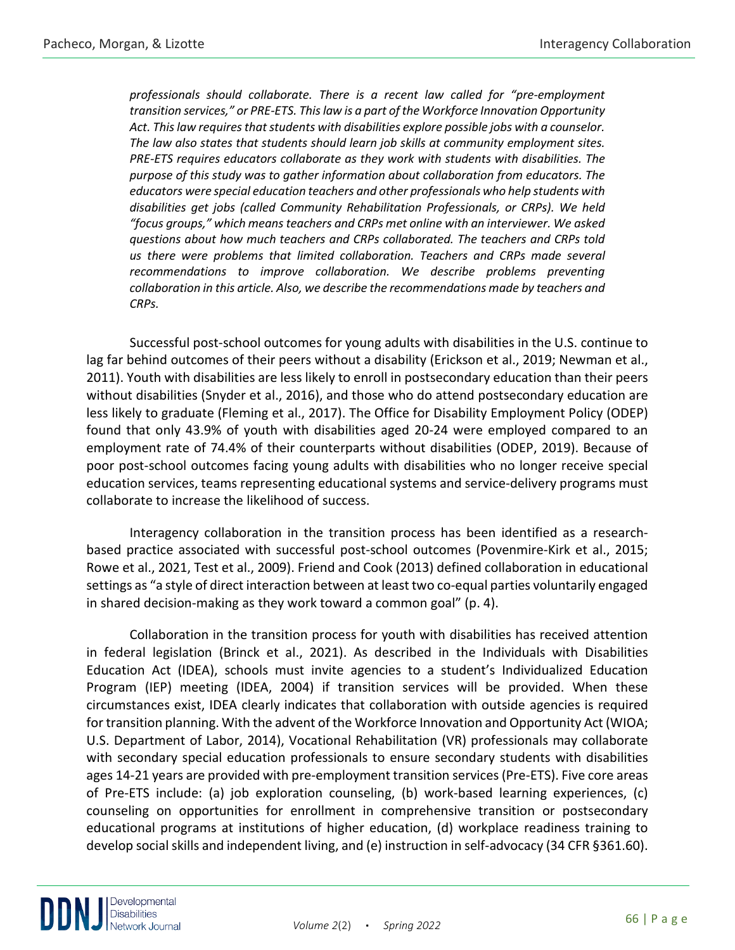*professionals should collaborate. There is a recent law called for "pre-employment transition services," or PRE-ETS. This law is a part of the Workforce Innovation Opportunity Act. This law requires that students with disabilities explore possible jobs with a counselor. The law also states that students should learn job skills at community employment sites. PRE-ETS requires educators collaborate as they work with students with disabilities. The purpose of this study was to gather information about collaboration from educators. The educators were special education teachers and other professionals who help students with disabilities get jobs (called Community Rehabilitation Professionals, or CRPs). We held "focus groups," which means teachers and CRPs met online with an interviewer. We asked questions about how much teachers and CRPs collaborated. The teachers and CRPs told*  us there were problems that limited collaboration. Teachers and CRPs made several *recommendations to improve collaboration. We describe problems preventing collaboration in this article. Also, we describe the recommendations made by teachers and CRPs.*

Successful post-school outcomes for young adults with disabilities in the U.S. continue to lag far behind outcomes of their peers without a disability (Erickson et al., 2019; Newman et al., 2011). Youth with disabilities are less likely to enroll in postsecondary education than their peers without disabilities (Snyder et al., 2016), and those who do attend postsecondary education are less likely to graduate (Fleming et al., 2017). The Office for Disability Employment Policy (ODEP) found that only 43.9% of youth with disabilities aged 20-24 were employed compared to an employment rate of 74.4% of their counterparts without disabilities (ODEP, 2019). Because of poor post-school outcomes facing young adults with disabilities who no longer receive special education services, teams representing educational systems and service-delivery programs must collaborate to increase the likelihood of success.

Interagency collaboration in the transition process has been identified as a researchbased practice associated with successful post-school outcomes (Povenmire-Kirk et al., 2015; Rowe et al., 2021, Test et al., 2009). Friend and Cook (2013) defined collaboration in educational settings as "a style of direct interaction between at least two co-equal parties voluntarily engaged in shared decision-making as they work toward a common goal" (p. 4).

Collaboration in the transition process for youth with disabilities has received attention in federal legislation (Brinck et al., 2021). As described in the Individuals with Disabilities Education Act (IDEA), schools must invite agencies to a student's Individualized Education Program (IEP) meeting (IDEA, 2004) if transition services will be provided. When these circumstances exist, IDEA clearly indicates that collaboration with outside agencies is required for transition planning. With the advent of the Workforce Innovation and Opportunity Act (WIOA; U.S. Department of Labor, 2014), Vocational Rehabilitation (VR) professionals may collaborate with secondary special education professionals to ensure secondary students with disabilities ages 14-21 years are provided with pre-employment transition services (Pre-ETS). Five core areas of Pre-ETS include: (a) job exploration counseling, (b) work-based learning experiences, (c) counseling on opportunities for enrollment in comprehensive transition or postsecondary educational programs at institutions of higher education, (d) workplace readiness training to develop social skills and independent living, and (e) instruction in self-advocacy (34 CFR §361.60).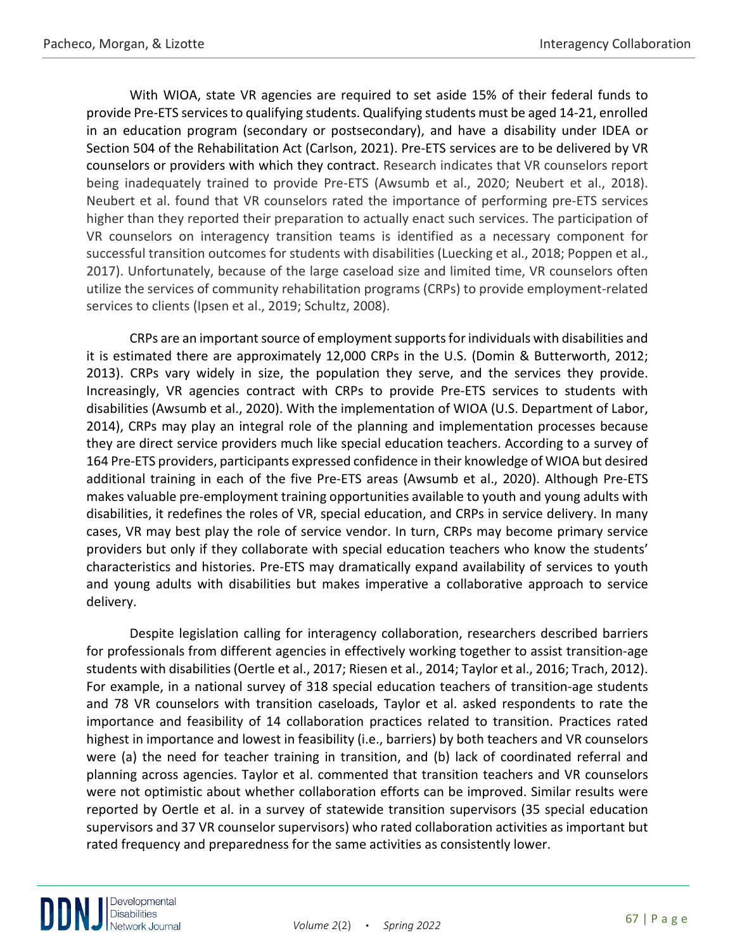With WIOA, state VR agencies are required to set aside 15% of their federal funds to provide Pre-ETS services to qualifying students. Qualifying students must be aged 14-21, enrolled in an education program (secondary or postsecondary), and have a disability under IDEA or Section 504 of the Rehabilitation Act (Carlson, 2021). Pre-ETS services are to be delivered by VR counselors or providers with which they contract. Research indicates that VR counselors report being inadequately trained to provide Pre-ETS (Awsumb et al., 2020; Neubert et al., 2018). Neubert et al. found that VR counselors rated the importance of performing pre-ETS services higher than they reported their preparation to actually enact such services. The participation of VR counselors on interagency transition teams is identified as a necessary component for successful transition outcomes for students with disabilities (Luecking et al., 2018; Poppen et al., 2017). Unfortunately, because of the large caseload size and limited time, VR counselors often utilize the services of community rehabilitation programs (CRPs) to provide employment-related services to clients (Ipsen et al., 2019; Schultz, 2008).

CRPs are an important source of employment supports for individuals with disabilities and it is estimated there are approximately 12,000 CRPs in the U.S. (Domin & Butterworth, 2012; 2013). CRPs vary widely in size, the population they serve, and the services they provide. Increasingly, VR agencies contract with CRPs to provide Pre-ETS services to students with disabilities (Awsumb et al., 2020). With the implementation of WIOA (U.S. Department of Labor, 2014), CRPs may play an integral role of the planning and implementation processes because they are direct service providers much like special education teachers. According to a survey of 164 Pre-ETS providers, participants expressed confidence in their knowledge of WIOA but desired additional training in each of the five Pre-ETS areas (Awsumb et al., 2020). Although Pre-ETS makes valuable pre-employment training opportunities available to youth and young adults with disabilities, it redefines the roles of VR, special education, and CRPs in service delivery. In many cases, VR may best play the role of service vendor. In turn, CRPs may become primary service providers but only if they collaborate with special education teachers who know the students' characteristics and histories. Pre-ETS may dramatically expand availability of services to youth and young adults with disabilities but makes imperative a collaborative approach to service delivery.

Despite legislation calling for interagency collaboration, researchers described barriers for professionals from different agencies in effectively working together to assist transition-age students with disabilities (Oertle et al., 2017; Riesen et al., 2014; Taylor et al., 2016; Trach, 2012). For example, in a national survey of 318 special education teachers of transition-age students and 78 VR counselors with transition caseloads, Taylor et al. asked respondents to rate the importance and feasibility of 14 collaboration practices related to transition. Practices rated highest in importance and lowest in feasibility (i.e., barriers) by both teachers and VR counselors were (a) the need for teacher training in transition, and (b) lack of coordinated referral and planning across agencies. Taylor et al. commented that transition teachers and VR counselors were not optimistic about whether collaboration efforts can be improved. Similar results were reported by Oertle et al. in a survey of statewide transition supervisors (35 special education supervisors and 37 VR counselor supervisors) who rated collaboration activities as important but rated frequency and preparedness for the same activities as consistently lower.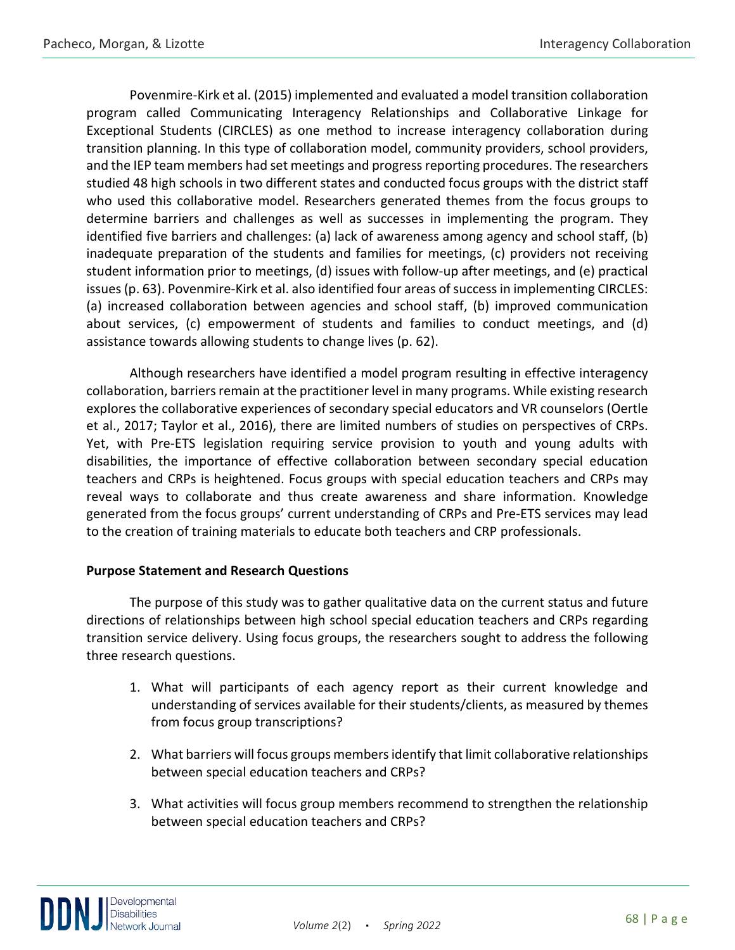Povenmire-Kirk et al. (2015) implemented and evaluated a model transition collaboration program called Communicating Interagency Relationships and Collaborative Linkage for Exceptional Students (CIRCLES) as one method to increase interagency collaboration during transition planning. In this type of collaboration model, community providers, school providers, and the IEP team members had set meetings and progress reporting procedures. The researchers studied 48 high schools in two different states and conducted focus groups with the district staff who used this collaborative model. Researchers generated themes from the focus groups to determine barriers and challenges as well as successes in implementing the program. They identified five barriers and challenges: (a) lack of awareness among agency and school staff, (b) inadequate preparation of the students and families for meetings, (c) providers not receiving student information prior to meetings, (d) issues with follow-up after meetings, and (e) practical issues (p. 63). Povenmire-Kirk et al. also identified four areas of success in implementing CIRCLES: (a) increased collaboration between agencies and school staff, (b) improved communication about services, (c) empowerment of students and families to conduct meetings, and (d) assistance towards allowing students to change lives (p. 62).

Although researchers have identified a model program resulting in effective interagency collaboration, barriers remain at the practitioner level in many programs. While existing research explores the collaborative experiences of secondary special educators and VR counselors (Oertle et al., 2017; Taylor et al., 2016), there are limited numbers of studies on perspectives of CRPs. Yet, with Pre-ETS legislation requiring service provision to youth and young adults with disabilities, the importance of effective collaboration between secondary special education teachers and CRPs is heightened. Focus groups with special education teachers and CRPs may reveal ways to collaborate and thus create awareness and share information. Knowledge generated from the focus groups' current understanding of CRPs and Pre-ETS services may lead to the creation of training materials to educate both teachers and CRP professionals.

## **Purpose Statement and Research Questions**

The purpose of this study was to gather qualitative data on the current status and future directions of relationships between high school special education teachers and CRPs regarding transition service delivery. Using focus groups, the researchers sought to address the following three research questions.

- 1. What will participants of each agency report as their current knowledge and understanding of services available for their students/clients, as measured by themes from focus group transcriptions?
- 2. What barriers will focus groups members identify that limit collaborative relationships between special education teachers and CRPs?
- 3. What activities will focus group members recommend to strengthen the relationship between special education teachers and CRPs?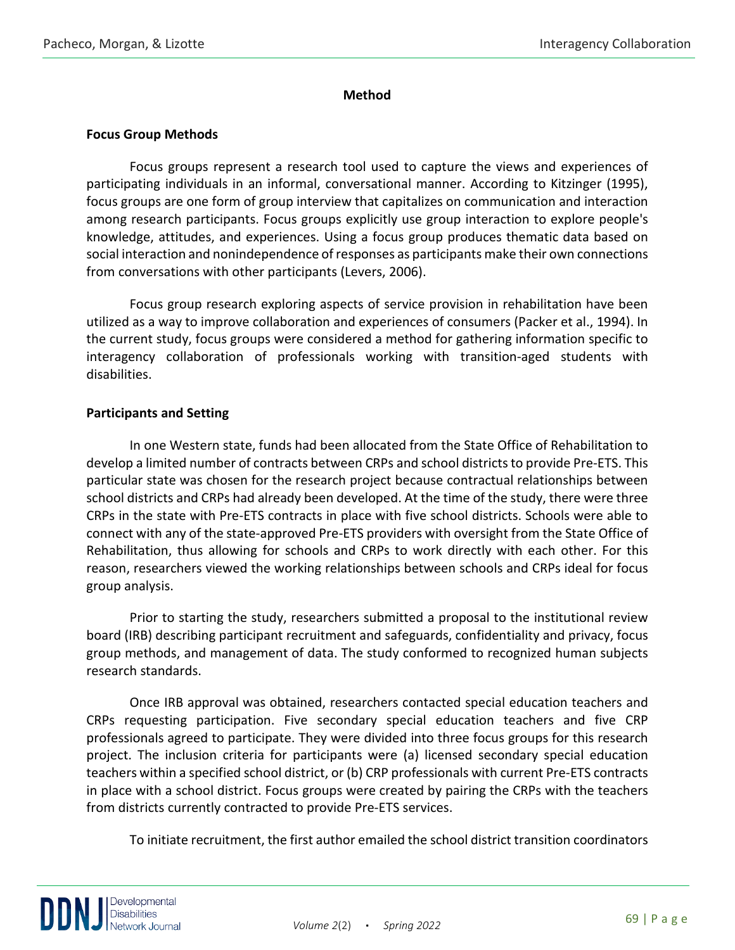## **Method**

## **Focus Group Methods**

Focus groups represent a research tool used to capture the views and experiences of participating individuals in an informal, conversational manner. According to Kitzinger (1995), focus groups are one form of group interview that capitalizes on communication and interaction among research participants. Focus groups explicitly use group interaction to explore people's knowledge, attitudes, and experiences. Using a focus group produces thematic data based on social interaction and nonindependence of responses as participants make their own connections from conversations with other participants (Levers, 2006).

Focus group research exploring aspects of service provision in rehabilitation have been utilized as a way to improve collaboration and experiences of consumers (Packer et al., 1994). In the current study, focus groups were considered a method for gathering information specific to interagency collaboration of professionals working with transition-aged students with disabilities.

## **Participants and Setting**

In one Western state, funds had been allocated from the State Office of Rehabilitation to develop a limited number of contracts between CRPs and school districts to provide Pre-ETS. This particular state was chosen for the research project because contractual relationships between school districts and CRPs had already been developed. At the time of the study, there were three CRPs in the state with Pre-ETS contracts in place with five school districts. Schools were able to connect with any of the state-approved Pre-ETS providers with oversight from the State Office of Rehabilitation, thus allowing for schools and CRPs to work directly with each other. For this reason, researchers viewed the working relationships between schools and CRPs ideal for focus group analysis.

Prior to starting the study, researchers submitted a proposal to the institutional review board (IRB) describing participant recruitment and safeguards, confidentiality and privacy, focus group methods, and management of data. The study conformed to recognized human subjects research standards.

Once IRB approval was obtained, researchers contacted special education teachers and CRPs requesting participation. Five secondary special education teachers and five CRP professionals agreed to participate. They were divided into three focus groups for this research project. The inclusion criteria for participants were (a) licensed secondary special education teachers within a specified school district, or (b) CRP professionals with current Pre-ETS contracts in place with a school district. Focus groups were created by pairing the CRPs with the teachers from districts currently contracted to provide Pre-ETS services.

To initiate recruitment, the first author emailed the school district transition coordinators

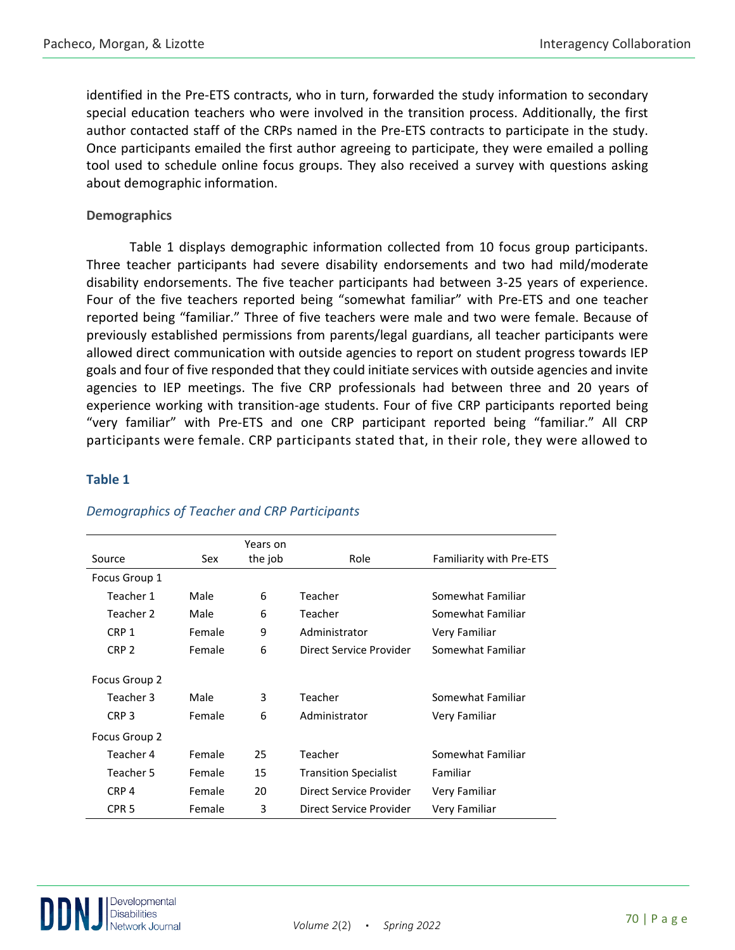identified in the Pre-ETS contracts, who in turn, forwarded the study information to secondary special education teachers who were involved in the transition process. Additionally, the first author contacted staff of the CRPs named in the Pre-ETS contracts to participate in the study. Once participants emailed the first author agreeing to participate, they were emailed a polling tool used to schedule online focus groups. They also received a survey with questions asking about demographic information.

## **Demographics**

Table 1 displays demographic information collected from 10 focus group participants. Three teacher participants had severe disability endorsements and two had mild/moderate disability endorsements. The five teacher participants had between 3-25 years of experience. Four of the five teachers reported being "somewhat familiar" with Pre-ETS and one teacher reported being "familiar." Three of five teachers were male and two were female. Because of previously established permissions from parents/legal guardians, all teacher participants were allowed direct communication with outside agencies to report on student progress towards IEP goals and four of five responded that they could initiate services with outside agencies and invite agencies to IEP meetings. The five CRP professionals had between three and 20 years of experience working with transition-age students. Four of five CRP participants reported being "very familiar" with Pre-ETS and one CRP participant reported being "familiar." All CRP participants were female. CRP participants stated that, in their role, they were allowed to

## **Table 1**

|                  |        | Years on |                              |                                 |
|------------------|--------|----------|------------------------------|---------------------------------|
| Source           | Sex    | the job  | Role                         | <b>Familiarity with Pre-ETS</b> |
| Focus Group 1    |        |          |                              |                                 |
| Teacher 1        | Male   | 6        | Teacher                      | Somewhat Familiar               |
| Teacher 2        | Male   | 6        | Teacher                      | Somewhat Familiar               |
| CRP <sub>1</sub> | Female | 9        | Administrator                | Very Familiar                   |
| CRP <sub>2</sub> | Female | 6        | Direct Service Provider      | Somewhat Familiar               |
| Focus Group 2    |        |          |                              |                                 |
| Teacher 3        | Male   | 3        | Teacher                      | Somewhat Familiar               |
| CRP <sub>3</sub> | Female | 6        | Administrator                | Very Familiar                   |
| Focus Group 2    |        |          |                              |                                 |
| Teacher 4        | Female | 25       | Teacher                      | Somewhat Familiar               |
| Teacher 5        | Female | 15       | <b>Transition Specialist</b> | Familiar                        |
| CRP <sub>4</sub> | Female | 20       | Direct Service Provider      | Very Familiar                   |
| CPR <sub>5</sub> | Female | 3        | Direct Service Provider      | Very Familiar                   |

## *Demographics of Teacher and CRP Participants*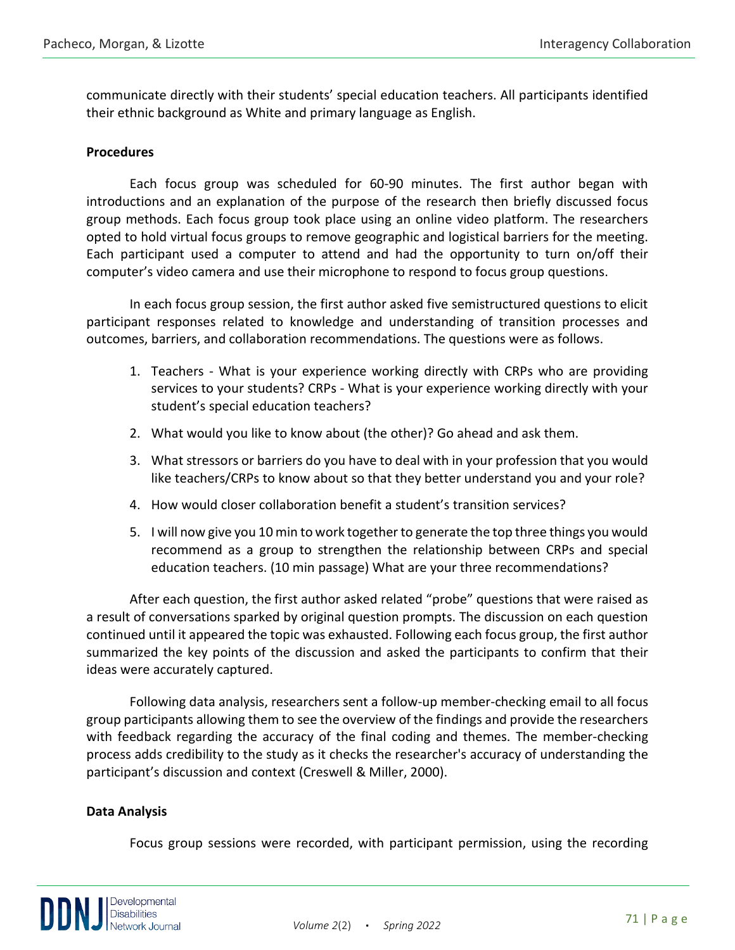communicate directly with their students' special education teachers. All participants identified their ethnic background as White and primary language as English.

## **Procedures**

Each focus group was scheduled for 60-90 minutes. The first author began with introductions and an explanation of the purpose of the research then briefly discussed focus group methods. Each focus group took place using an online video platform. The researchers opted to hold virtual focus groups to remove geographic and logistical barriers for the meeting. Each participant used a computer to attend and had the opportunity to turn on/off their computer's video camera and use their microphone to respond to focus group questions.

In each focus group session, the first author asked five semistructured questions to elicit participant responses related to knowledge and understanding of transition processes and outcomes, barriers, and collaboration recommendations. The questions were as follows.

- 1. Teachers What is your experience working directly with CRPs who are providing services to your students? CRPs - What is your experience working directly with your student's special education teachers?
- 2. What would you like to know about (the other)? Go ahead and ask them.
- 3. What stressors or barriers do you have to deal with in your profession that you would like teachers/CRPs to know about so that they better understand you and your role?
- 4. How would closer collaboration benefit a student's transition services?
- 5. I will now give you 10 min to work together to generate the top three things you would recommend as a group to strengthen the relationship between CRPs and special education teachers. (10 min passage) What are your three recommendations?

After each question, the first author asked related "probe" questions that were raised as a result of conversations sparked by original question prompts. The discussion on each question continued until it appeared the topic was exhausted. Following each focus group, the first author summarized the key points of the discussion and asked the participants to confirm that their ideas were accurately captured.

Following data analysis, researchers sent a follow-up member-checking email to all focus group participants allowing them to see the overview of the findings and provide the researchers with feedback regarding the accuracy of the final coding and themes. The member-checking process adds credibility to the study as it checks the researcher's accuracy of understanding the participant's discussion and context (Creswell & Miller, 2000).

#### **Data Analysis**

Focus group sessions were recorded, with participant permission, using the recording

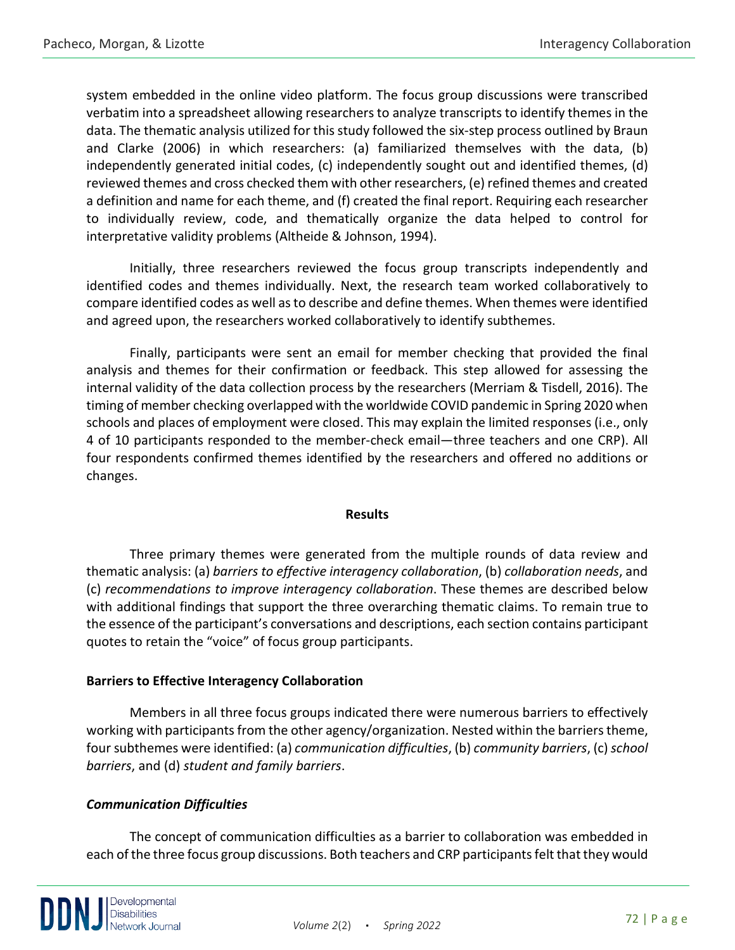system embedded in the online video platform. The focus group discussions were transcribed verbatim into a spreadsheet allowing researchers to analyze transcripts to identify themes in the data. The thematic analysis utilized for this study followed the six-step process outlined by Braun and Clarke (2006) in which researchers: (a) familiarized themselves with the data, (b) independently generated initial codes, (c) independently sought out and identified themes, (d) reviewed themes and cross checked them with other researchers, (e) refined themes and created a definition and name for each theme, and (f) created the final report. Requiring each researcher to individually review, code, and thematically organize the data helped to control for interpretative validity problems (Altheide & Johnson, 1994).

Initially, three researchers reviewed the focus group transcripts independently and identified codes and themes individually. Next, the research team worked collaboratively to compare identified codes as well as to describe and define themes. When themes were identified and agreed upon, the researchers worked collaboratively to identify subthemes.

Finally, participants were sent an email for member checking that provided the final analysis and themes for their confirmation or feedback. This step allowed for assessing the internal validity of the data collection process by the researchers (Merriam & Tisdell, 2016). The timing of member checking overlapped with the worldwide COVID pandemic in Spring 2020 when schools and places of employment were closed. This may explain the limited responses (i.e., only 4 of 10 participants responded to the member-check email—three teachers and one CRP). All four respondents confirmed themes identified by the researchers and offered no additions or changes.

## **Results**

Three primary themes were generated from the multiple rounds of data review and thematic analysis: (a) *barriers to effective interagency collaboration*, (b) *collaboration needs*, and (c) *recommendations to improve interagency collaboration*. These themes are described below with additional findings that support the three overarching thematic claims. To remain true to the essence of the participant's conversations and descriptions, each section contains participant quotes to retain the "voice" of focus group participants.

## **Barriers to Effective Interagency Collaboration**

Members in all three focus groups indicated there were numerous barriers to effectively working with participants from the other agency/organization. Nested within the barriers theme, four subthemes were identified: (a) *communication difficulties*, (b) *community barriers*, (c) *school barriers*, and (d) *student and family barriers*.

## *Communication Difficulties*

The concept of communication difficulties as a barrier to collaboration was embedded in each of the three focus group discussions. Both teachers and CRP participants felt that they would

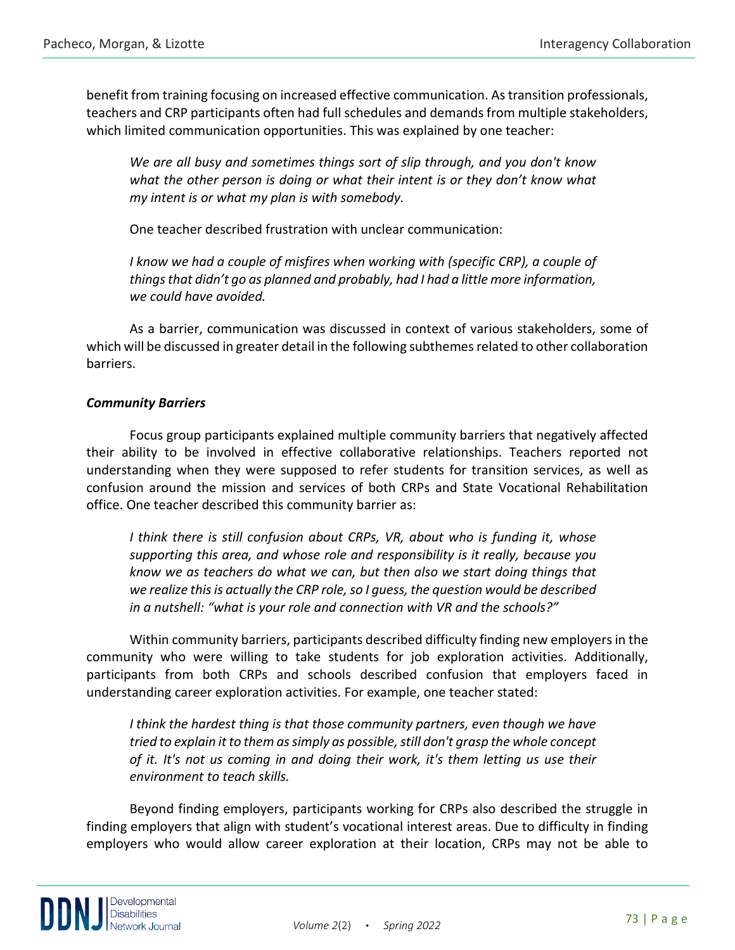benefit from training focusing on increased effective communication. As transition professionals, teachers and CRP participants often had full schedules and demands from multiple stakeholders, which limited communication opportunities. This was explained by one teacher:

*We are all busy and sometimes things sort of slip through, and you don't know what the other person is doing or what their intent is or they don't know what my intent is or what my plan is with somebody.*

One teacher described frustration with unclear communication:

*I know we had a couple of misfires when working with (specific CRP), a couple of things that didn't go as planned and probably, had I had a little more information, we could have avoided.*

As a barrier, communication was discussed in context of various stakeholders, some of which will be discussed in greater detail in the following subthemes related to other collaboration barriers.

## *Community Barriers*

Focus group participants explained multiple community barriers that negatively affected their ability to be involved in effective collaborative relationships. Teachers reported not understanding when they were supposed to refer students for transition services, as well as confusion around the mission and services of both CRPs and State Vocational Rehabilitation office. One teacher described this community barrier as:

*I think there is still confusion about CRPs, VR, about who is funding it, whose supporting this area, and whose role and responsibility is it really, because you know we as teachers do what we can, but then also we start doing things that we realize this is actually the CRP role, so I guess, the question would be described in a nutshell: "what is your role and connection with VR and the schools?"*

Within community barriers, participants described difficulty finding new employers in the community who were willing to take students for job exploration activities. Additionally, participants from both CRPs and schools described confusion that employers faced in understanding career exploration activities. For example, one teacher stated:

*I think the hardest thing is that those community partners, even though we have tried to explain it to them as simply as possible, still don't grasp the whole concept of it. It's not us coming in and doing their work, it's them letting us use their environment to teach skills.* 

Beyond finding employers, participants working for CRPs also described the struggle in finding employers that align with student's vocational interest areas. Due to difficulty in finding employers who would allow career exploration at their location, CRPs may not be able to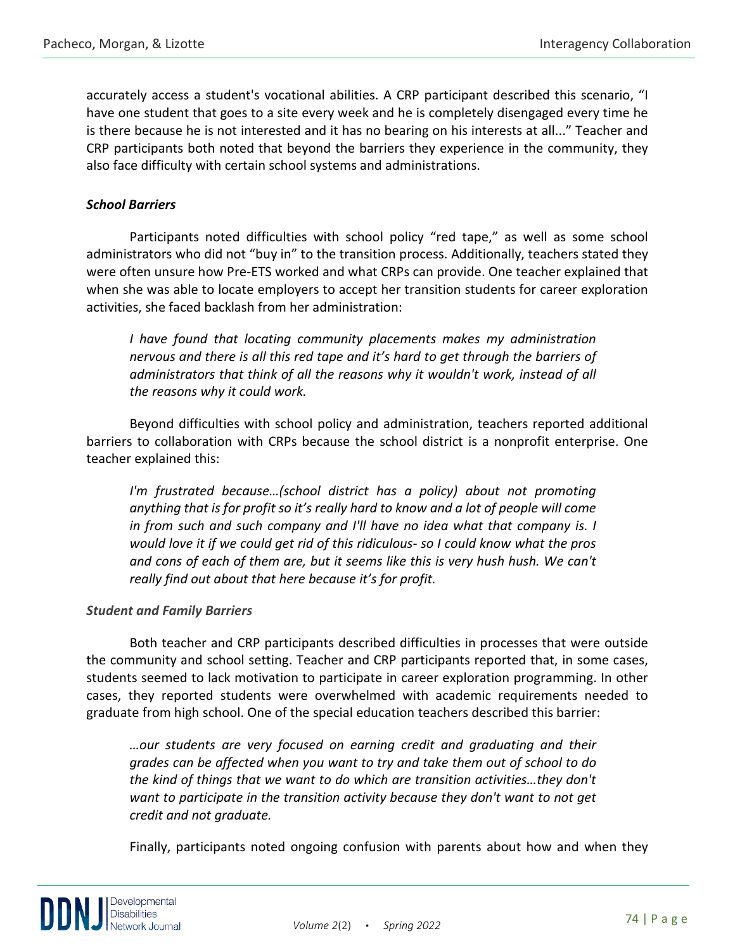accurately access a student's vocational abilities. A CRP participant described this scenario, "I have one student that goes to a site every week and he is completely disengaged every time he is there because he is not interested and it has no bearing on his interests at all..." Teacher and CRP participants both noted that beyond the barriers they experience in the community, they also face difficulty with certain school systems and administrations.

## *School Barriers*

Participants noted difficulties with school policy "red tape," as well as some school administrators who did not "buy in" to the transition process. Additionally, teachers stated they were often unsure how Pre-ETS worked and what CRPs can provide. One teacher explained that when she was able to locate employers to accept her transition students for career exploration activities, she faced backlash from her administration:

*I have found that locating community placements makes my administration nervous and there is all this red tape and it's hard to get through the barriers of administrators that think of all the reasons why it wouldn't work, instead of all the reasons why it could work.*

Beyond difficulties with school policy and administration, teachers reported additional barriers to collaboration with CRPs because the school district is a nonprofit enterprise. One teacher explained this:

*I'm frustrated because...(school district has a policy) about not promoting anything that is for profit so it's really hard to know and a lot of people will come in from such and such company and I'll have no idea what that company is. I would love it if we could get rid of this ridiculous- so I could know what the pros and cons of each of them are, but it seems like this is very hush hush. We can't really find out about that here because it's for profit.* 

#### *Student and Family Barriers*

Both teacher and CRP participants described difficulties in processes that were outside the community and school setting. Teacher and CRP participants reported that, in some cases, students seemed to lack motivation to participate in career exploration programming. In other cases, they reported students were overwhelmed with academic requirements needed to graduate from high school. One of the special education teachers described this barrier:

*…our students are very focused on earning credit and graduating and their grades can be affected when you want to try and take them out of school to do the kind of things that we want to do which are transition activities…they don't want to participate in the transition activity because they don't want to not get credit and not graduate.*

Finally, participants noted ongoing confusion with parents about how and when they

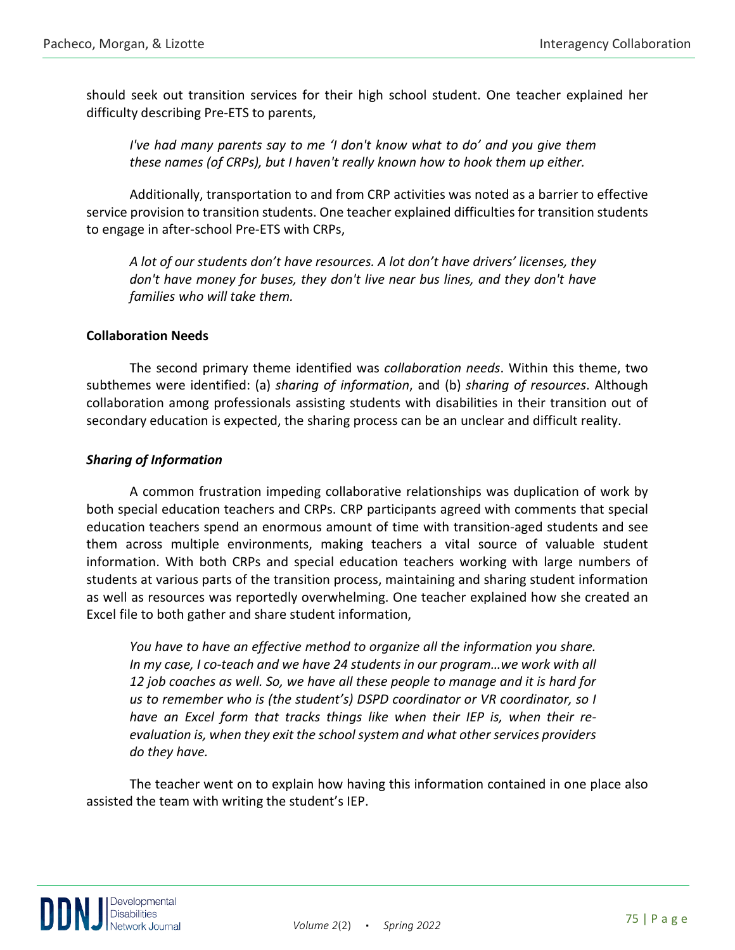should seek out transition services for their high school student. One teacher explained her difficulty describing Pre-ETS to parents,

*I've had many parents say to me 'I don't know what to do' and you give them these names (of CRPs), but I haven't really known how to hook them up either.*

Additionally, transportation to and from CRP activities was noted as a barrier to effective service provision to transition students. One teacher explained difficulties for transition students to engage in after-school Pre-ETS with CRPs,

*A lot of our students don't have resources. A lot don't have drivers' licenses, they don't have money for buses, they don't live near bus lines, and they don't have families who will take them.*

## **Collaboration Needs**

The second primary theme identified was *collaboration needs*. Within this theme, two subthemes were identified: (a) *sharing of information*, and (b) *sharing of resources*. Although collaboration among professionals assisting students with disabilities in their transition out of secondary education is expected, the sharing process can be an unclear and difficult reality.

## *Sharing of Information*

A common frustration impeding collaborative relationships was duplication of work by both special education teachers and CRPs. CRP participants agreed with comments that special education teachers spend an enormous amount of time with transition-aged students and see them across multiple environments, making teachers a vital source of valuable student information. With both CRPs and special education teachers working with large numbers of students at various parts of the transition process, maintaining and sharing student information as well as resources was reportedly overwhelming. One teacher explained how she created an Excel file to both gather and share student information,

*You have to have an effective method to organize all the information you share.*  In my case, I co-teach and we have 24 students in our program...we work with all *12 job coaches as well. So, we have all these people to manage and it is hard for us to remember who is (the student's) DSPD coordinator or VR coordinator, so I have an Excel form that tracks things like when their IEP is, when their reevaluation is, when they exit the school system and what other services providers do they have.*

The teacher went on to explain how having this information contained in one place also assisted the team with writing the student's IEP.

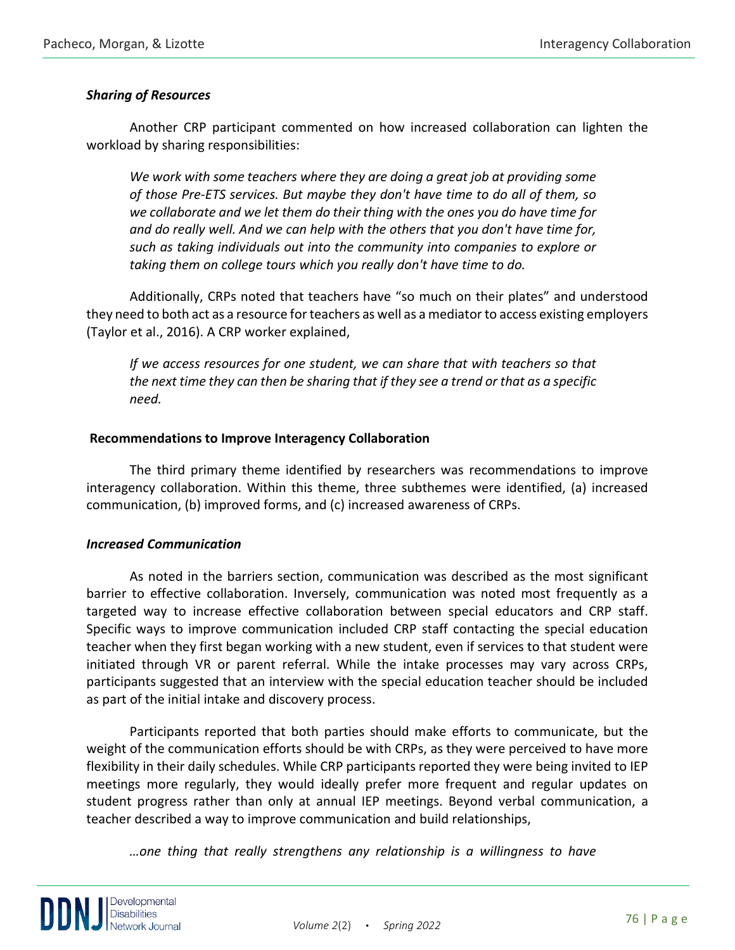## *Sharing of Resources*

Another CRP participant commented on how increased collaboration can lighten the workload by sharing responsibilities:

*We work with some teachers where they are doing a great job at providing some of those Pre-ETS services. But maybe they don't have time to do all of them, so we collaborate and we let them do their thing with the ones you do have time for and do really well. And we can help with the others that you don't have time for, such as taking individuals out into the community into companies to explore or taking them on college tours which you really don't have time to do.* 

Additionally, CRPs noted that teachers have "so much on their plates" and understood they need to both act as a resource for teachers as well as a mediator to access existing employers (Taylor et al., 2016). A CRP worker explained,

*If we access resources for one student, we can share that with teachers so that the next time they can then be sharing that if they see a trend or that as a specific need.*

## **Recommendations to Improve Interagency Collaboration**

The third primary theme identified by researchers was recommendations to improve interagency collaboration. Within this theme, three subthemes were identified, (a) increased communication, (b) improved forms, and (c) increased awareness of CRPs.

## *Increased Communication*

As noted in the barriers section, communication was described as the most significant barrier to effective collaboration. Inversely, communication was noted most frequently as a targeted way to increase effective collaboration between special educators and CRP staff. Specific ways to improve communication included CRP staff contacting the special education teacher when they first began working with a new student, even if services to that student were initiated through VR or parent referral. While the intake processes may vary across CRPs, participants suggested that an interview with the special education teacher should be included as part of the initial intake and discovery process.

Participants reported that both parties should make efforts to communicate, but the weight of the communication efforts should be with CRPs, as they were perceived to have more flexibility in their daily schedules. While CRP participants reported they were being invited to IEP meetings more regularly, they would ideally prefer more frequent and regular updates on student progress rather than only at annual IEP meetings. Beyond verbal communication, a teacher described a way to improve communication and build relationships,

*…one thing that really strengthens any relationship is a willingness to have* 

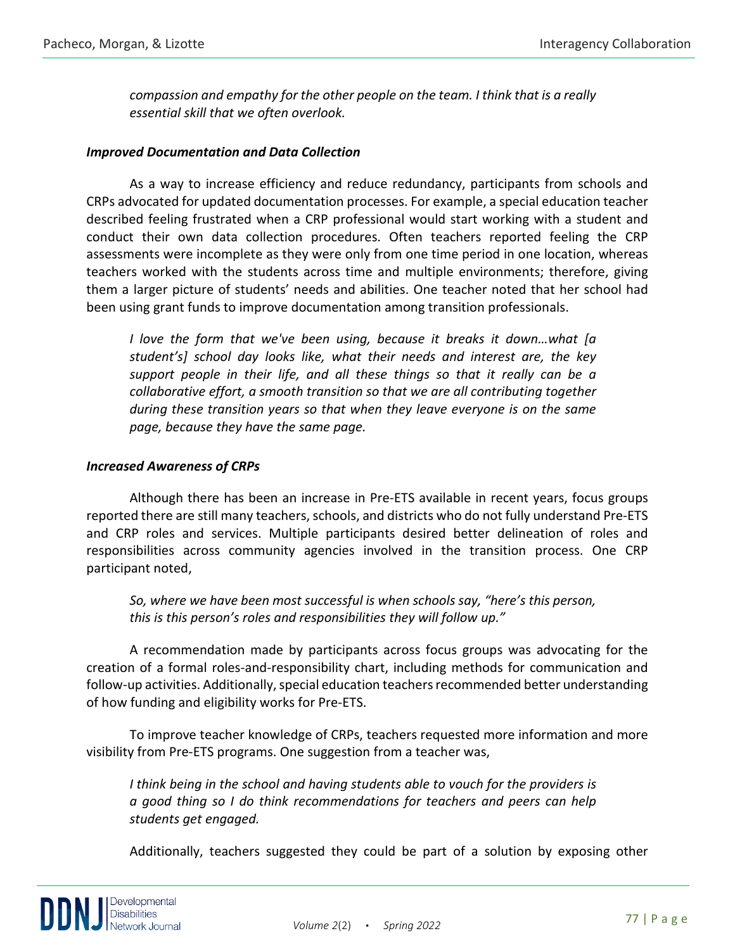*compassion and empathy for the other people on the team. I think that is a really essential skill that we often overlook.*

## *Improved Documentation and Data Collection*

As a way to increase efficiency and reduce redundancy, participants from schools and CRPs advocated for updated documentation processes. For example, a special education teacher described feeling frustrated when a CRP professional would start working with a student and conduct their own data collection procedures. Often teachers reported feeling the CRP assessments were incomplete as they were only from one time period in one location, whereas teachers worked with the students across time and multiple environments; therefore, giving them a larger picture of students' needs and abilities. One teacher noted that her school had been using grant funds to improve documentation among transition professionals.

*I love the form that we've been using, because it breaks it down…what [a student's] school day looks like, what their needs and interest are, the key support people in their life, and all these things so that it really can be a collaborative effort, a smooth transition so that we are all contributing together during these transition years so that when they leave everyone is on the same page, because they have the same page.*

## *Increased Awareness of CRPs*

Although there has been an increase in Pre-ETS available in recent years, focus groups reported there are still many teachers, schools, and districts who do not fully understand Pre-ETS and CRP roles and services. Multiple participants desired better delineation of roles and responsibilities across community agencies involved in the transition process. One CRP participant noted,

*So, where we have been most successful is when schools say, "here's this person, this is this person's roles and responsibilities they will follow up."* 

A recommendation made by participants across focus groups was advocating for the creation of a formal roles-and-responsibility chart, including methods for communication and follow-up activities. Additionally, special education teachers recommended better understanding of how funding and eligibility works for Pre-ETS.

To improve teacher knowledge of CRPs, teachers requested more information and more visibility from Pre-ETS programs. One suggestion from a teacher was,

*I think being in the school and having students able to vouch for the providers is a good thing so I do think recommendations for teachers and peers can help students get engaged.*

Additionally, teachers suggested they could be part of a solution by exposing other

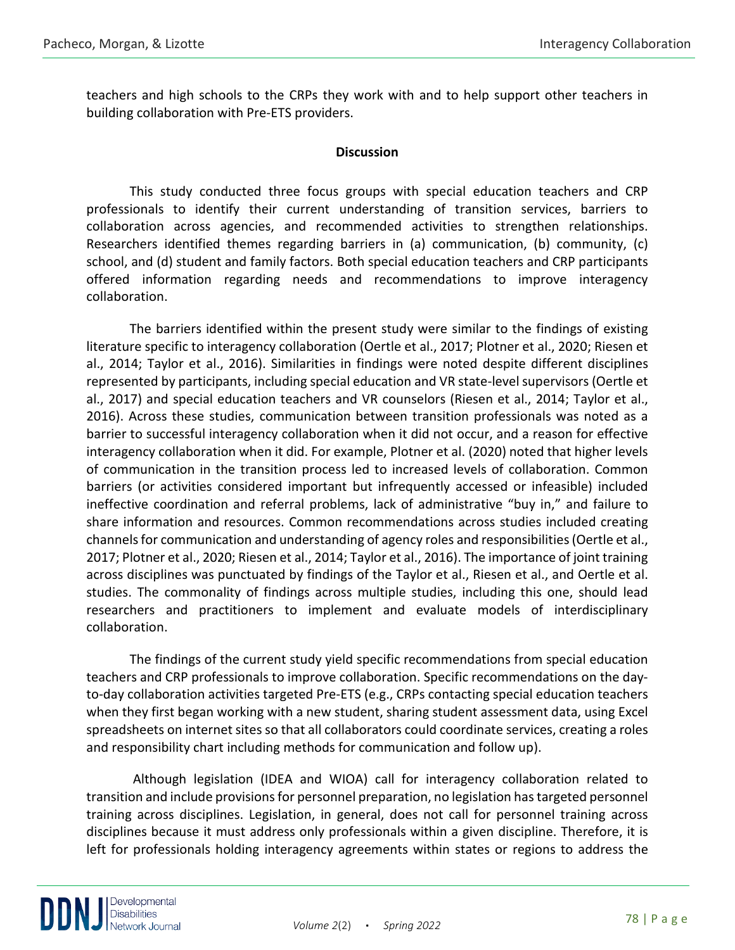teachers and high schools to the CRPs they work with and to help support other teachers in building collaboration with Pre-ETS providers.

## **Discussion**

This study conducted three focus groups with special education teachers and CRP professionals to identify their current understanding of transition services, barriers to collaboration across agencies, and recommended activities to strengthen relationships. Researchers identified themes regarding barriers in (a) communication, (b) community, (c) school, and (d) student and family factors. Both special education teachers and CRP participants offered information regarding needs and recommendations to improve interagency collaboration.

The barriers identified within the present study were similar to the findings of existing literature specific to interagency collaboration (Oertle et al., 2017; Plotner et al., 2020; Riesen et al., 2014; Taylor et al., 2016). Similarities in findings were noted despite different disciplines represented by participants, including special education and VR state-level supervisors (Oertle et al., 2017) and special education teachers and VR counselors (Riesen et al., 2014; Taylor et al., 2016). Across these studies, communication between transition professionals was noted as a barrier to successful interagency collaboration when it did not occur, and a reason for effective interagency collaboration when it did. For example, Plotner et al. (2020) noted that higher levels of communication in the transition process led to increased levels of collaboration. Common barriers (or activities considered important but infrequently accessed or infeasible) included ineffective coordination and referral problems, lack of administrative "buy in," and failure to share information and resources. Common recommendations across studies included creating channels for communication and understanding of agency roles and responsibilities (Oertle et al., 2017; Plotner et al., 2020; Riesen et al., 2014; Taylor et al., 2016). The importance of joint training across disciplines was punctuated by findings of the Taylor et al., Riesen et al., and Oertle et al. studies. The commonality of findings across multiple studies, including this one, should lead researchers and practitioners to implement and evaluate models of interdisciplinary collaboration.

The findings of the current study yield specific recommendations from special education teachers and CRP professionals to improve collaboration. Specific recommendations on the dayto-day collaboration activities targeted Pre-ETS (e.g., CRPs contacting special education teachers when they first began working with a new student, sharing student assessment data, using Excel spreadsheets on internet sites so that all collaborators could coordinate services, creating a roles and responsibility chart including methods for communication and follow up).

Although legislation (IDEA and WIOA) call for interagency collaboration related to transition and include provisions for personnel preparation, no legislation has targeted personnel training across disciplines. Legislation, in general, does not call for personnel training across disciplines because it must address only professionals within a given discipline. Therefore, it is left for professionals holding interagency agreements within states or regions to address the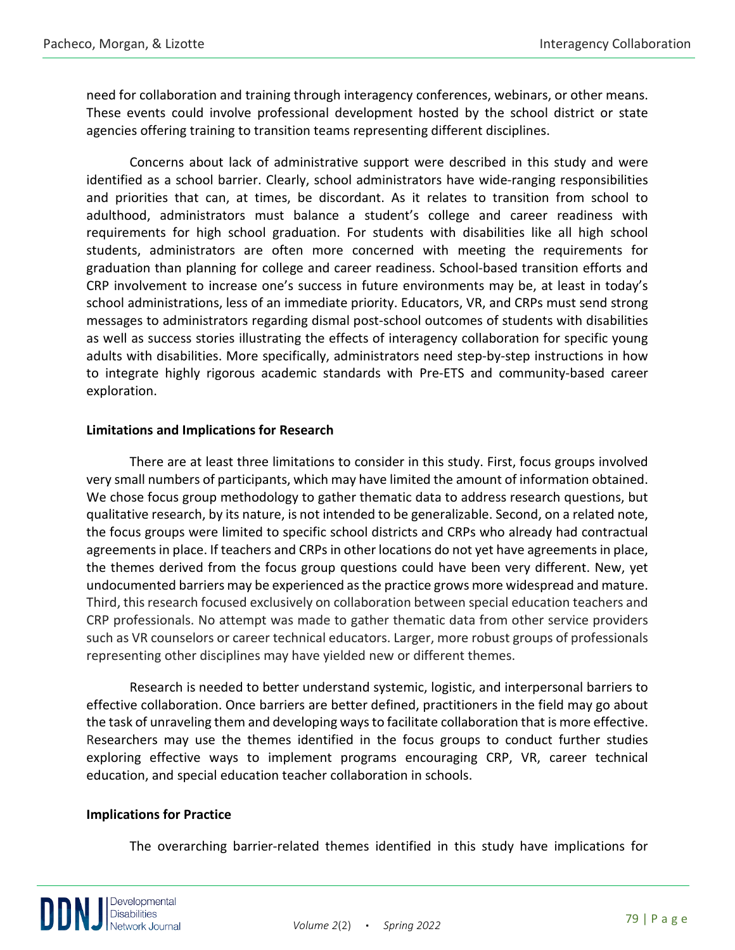need for collaboration and training through interagency conferences, webinars, or other means. These events could involve professional development hosted by the school district or state agencies offering training to transition teams representing different disciplines.

Concerns about lack of administrative support were described in this study and were identified as a school barrier. Clearly, school administrators have wide-ranging responsibilities and priorities that can, at times, be discordant. As it relates to transition from school to adulthood, administrators must balance a student's college and career readiness with requirements for high school graduation. For students with disabilities like all high school students, administrators are often more concerned with meeting the requirements for graduation than planning for college and career readiness. School-based transition efforts and CRP involvement to increase one's success in future environments may be, at least in today's school administrations, less of an immediate priority. Educators, VR, and CRPs must send strong messages to administrators regarding dismal post-school outcomes of students with disabilities as well as success stories illustrating the effects of interagency collaboration for specific young adults with disabilities. More specifically, administrators need step-by-step instructions in how to integrate highly rigorous academic standards with Pre-ETS and community-based career exploration.

## **Limitations and Implications for Research**

There are at least three limitations to consider in this study. First, focus groups involved very small numbers of participants, which may have limited the amount of information obtained. We chose focus group methodology to gather thematic data to address research questions, but qualitative research, by its nature, is not intended to be generalizable. Second, on a related note, the focus groups were limited to specific school districts and CRPs who already had contractual agreements in place. If teachers and CRPs in other locations do not yet have agreements in place, the themes derived from the focus group questions could have been very different. New, yet undocumented barriers may be experienced as the practice grows more widespread and mature. Third, this research focused exclusively on collaboration between special education teachers and CRP professionals. No attempt was made to gather thematic data from other service providers such as VR counselors or career technical educators. Larger, more robust groups of professionals representing other disciplines may have yielded new or different themes.

Research is needed to better understand systemic, logistic, and interpersonal barriers to effective collaboration. Once barriers are better defined, practitioners in the field may go about the task of unraveling them and developing ways to facilitate collaboration that is more effective. Researchers may use the themes identified in the focus groups to conduct further studies exploring effective ways to implement programs encouraging CRP, VR, career technical education, and special education teacher collaboration in schools.

## **Implications for Practice**

The overarching barrier-related themes identified in this study have implications for

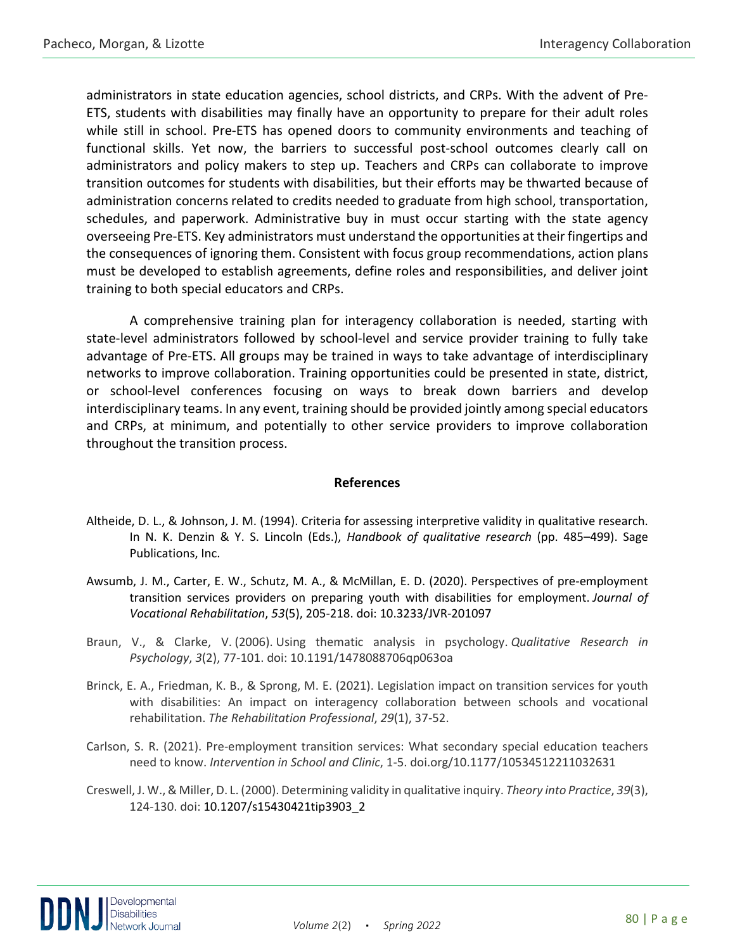administrators in state education agencies, school districts, and CRPs. With the advent of Pre-ETS, students with disabilities may finally have an opportunity to prepare for their adult roles while still in school. Pre-ETS has opened doors to community environments and teaching of functional skills. Yet now, the barriers to successful post-school outcomes clearly call on administrators and policy makers to step up. Teachers and CRPs can collaborate to improve transition outcomes for students with disabilities, but their efforts may be thwarted because of administration concerns related to credits needed to graduate from high school, transportation, schedules, and paperwork. Administrative buy in must occur starting with the state agency overseeing Pre-ETS. Key administrators must understand the opportunities at their fingertips and the consequences of ignoring them. Consistent with focus group recommendations, action plans must be developed to establish agreements, define roles and responsibilities, and deliver joint training to both special educators and CRPs.

A comprehensive training plan for interagency collaboration is needed, starting with state-level administrators followed by school-level and service provider training to fully take advantage of Pre-ETS. All groups may be trained in ways to take advantage of interdisciplinary networks to improve collaboration. Training opportunities could be presented in state, district, or school-level conferences focusing on ways to break down barriers and develop interdisciplinary teams. In any event, training should be provided jointly among special educators and CRPs, at minimum, and potentially to other service providers to improve collaboration throughout the transition process.

#### **References**

- Altheide, D. L., & Johnson, J. M. (1994). Criteria for assessing interpretive validity in qualitative research. In N. K. Denzin & Y. S. Lincoln (Eds.), *Handbook of qualitative research* (pp. 485–499). Sage Publications, Inc.
- Awsumb, J. M., Carter, E. W., Schutz, M. A., & McMillan, E. D. (2020). Perspectives of pre-employment transition services providers on preparing youth with disabilities for employment. *Journal of Vocational Rehabilitation*, *53*(5), 205-218. doi: 10.3233/JVR-201097
- Braun, V., & Clarke, V. (2006). Using thematic analysis in psychology. *Qualitative Research in Psychology*, *3*(2), 77-101. doi: [10.1191/1478088706qp063oa](https://doi.org/10.1191/1478088706qp063oa)
- Brinck, E. A., Friedman, K. B., & Sprong, M. E. (2021). Legislation impact on transition services for youth with disabilities: An impact on interagency collaboration between schools and vocational rehabilitation. *The Rehabilitation Professional*, *29*(1), 37-52.
- Carlson, S. R. (2021). Pre-employment transition services: What secondary special education teachers need to know. *Intervention in School and Clinic*, 1-5. doi.org/10.1177/10534512211032631
- Creswell, J. W., & Miller, D. L. (2000). Determining validity in qualitative inquiry. *Theory into Practice*, *39*(3), 124-130. doi: 10.1207/s15430421tip3903\_2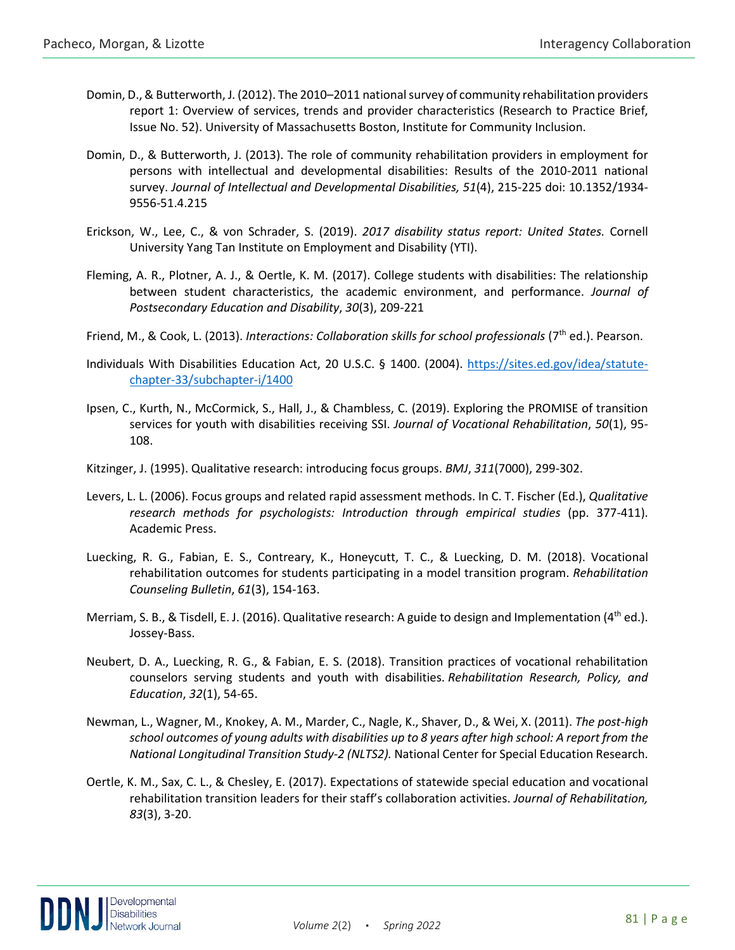- Domin, D., & Butterworth, J. (2012). The 2010–2011 national survey of community rehabilitation providers report 1: Overview of services, trends and provider characteristics (Research to Practice Brief, Issue No. 52). University of Massachusetts Boston, Institute for Community Inclusion.
- Domin, D., & Butterworth, J. (2013). The role of community rehabilitation providers in employment for persons with intellectual and developmental disabilities: Results of the 2010-2011 national survey. *Journal of Intellectual and Developmental Disabilities, 51*(4), 215-225 doi: 10.1352/1934- 9556-51.4.215
- Erickson, W., Lee, C., & von Schrader, S. (2019). *2017 disability status report: United States.* Cornell University Yang Tan Institute on Employment and Disability (YTI).
- Fleming, A. R., Plotner, A. J., & Oertle, K. M. (2017). College students with disabilities: The relationship between student characteristics, the academic environment, and performance. *Journal of Postsecondary Education and Disability*, *30*(3), 209-221
- Friend, M., & Cook, L. (2013). *Interactions: Collaboration skills for school professionals* (7<sup>th</sup> ed.). Pearson.
- Individuals With Disabilities Education Act, 20 U.S.C. § 1400. (2004). [https://sites.ed.gov/idea/statute](https://sites.ed.gov/idea/statute-chapter-33/subchapter-i/1400)[chapter-33/subchapter-i/1400](https://sites.ed.gov/idea/statute-chapter-33/subchapter-i/1400)
- Ipsen, C., Kurth, N., McCormick, S., Hall, J., & Chambless, C. (2019). Exploring the PROMISE of transition services for youth with disabilities receiving SSI. *Journal of Vocational Rehabilitation*, *50*(1), 95- 108.
- Kitzinger, J. (1995). Qualitative research: introducing focus groups. *BMJ*, *311*(7000), 299-302.
- Levers, L. L. (2006). Focus groups and related rapid assessment methods. In C. T. Fischer (Ed.), *Qualitative research methods for psychologists: Introduction through empirical studies* (pp. 377-411). Academic Press.
- Luecking, R. G., Fabian, E. S., Contreary, K., Honeycutt, T. C., & Luecking, D. M. (2018). Vocational rehabilitation outcomes for students participating in a model transition program. *Rehabilitation Counseling Bulletin*, *61*(3), 154-163.
- Merriam, S. B., & Tisdell, E. J. (2016). Qualitative research: A guide to design and Implementation (4<sup>th</sup> ed.). Jossey-Bass.
- Neubert, D. A., Luecking, R. G., & Fabian, E. S. (2018). Transition practices of vocational rehabilitation counselors serving students and youth with disabilities. *Rehabilitation Research, Policy, and Education*, *32*(1), 54-65.
- Newman, L., Wagner, M., Knokey, A. M., Marder, C., Nagle, K., Shaver, D., & Wei, X. (2011). *The post-high school outcomes of young adults with disabilities up to 8 years after high school: A report from the National Longitudinal Transition Study-2 (NLTS2).* National Center for Special Education Research.
- Oertle, K. M., Sax, C. L., & Chesley, E. (2017). Expectations of statewide special education and vocational rehabilitation transition leaders for their staff's collaboration activities. *Journal of Rehabilitation, 83*(3), 3-20.